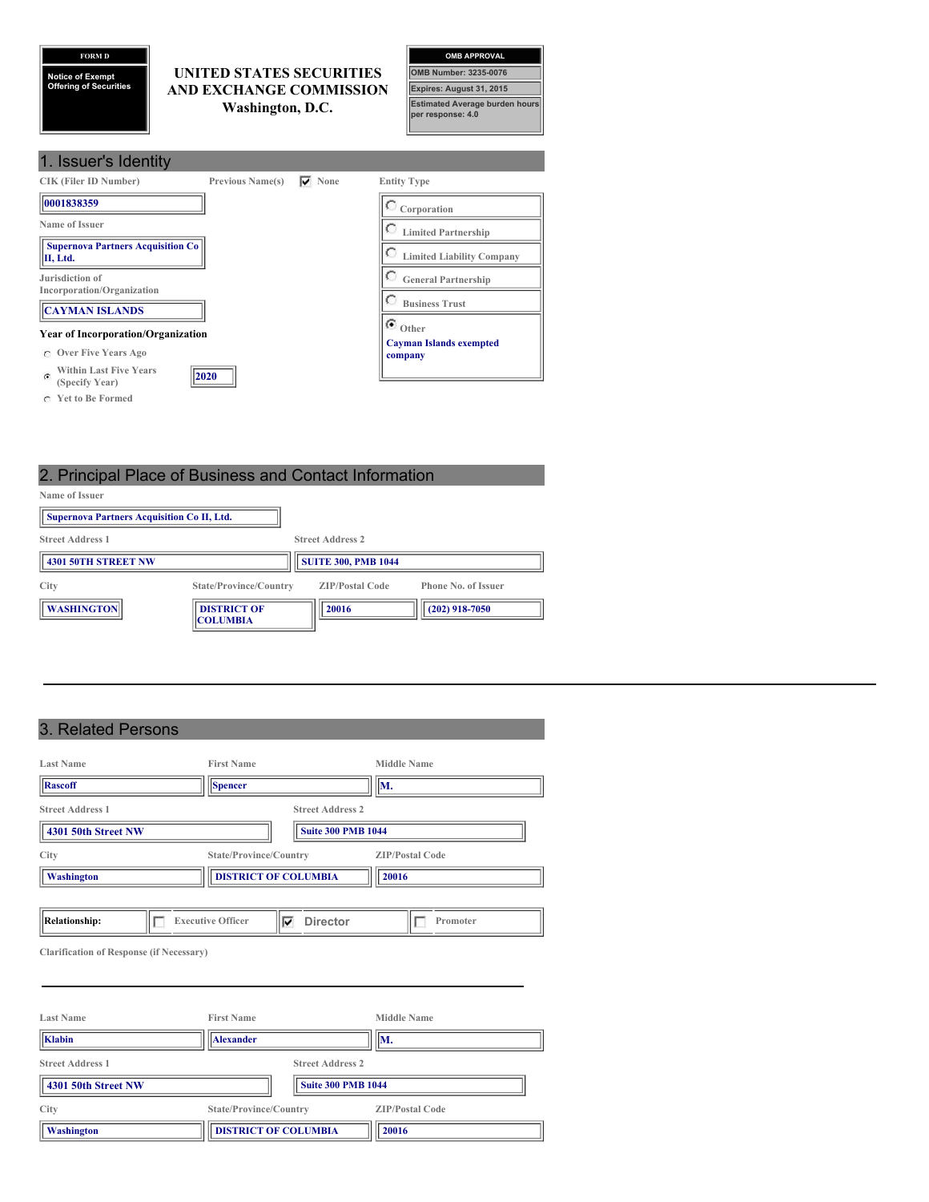**FORM D**

**Notice of Exempt Offering of Securities**

# **UNITED STATES SECURITIES AND EXCHANGE COMMISSION Washington, D.C.**

| <b>OMB APPROVAL</b>                                        |
|------------------------------------------------------------|
| <b>OMB Number: 3235-0076</b>                               |
| <b>Expires: August 31, 2015</b>                            |
| <b>Estimated Average burden hours</b><br>per response: 4.0 |

| 1. Issuer's Identity                                             |                         |               |                                           |
|------------------------------------------------------------------|-------------------------|---------------|-------------------------------------------|
| <b>CIK (Filer ID Number)</b>                                     | <b>Previous Name(s)</b> | $\nabla$ None | <b>Entity Type</b>                        |
| 10001838359                                                      |                         |               | $\degree$ Corporation                     |
| Name of Issuer                                                   |                         |               | <b>Limited Partnership</b>                |
| <b>Supernova Partners Acquisition Co</b><br>II, Ltd.             |                         |               | <b>Limited Liability Company</b>          |
| Jurisdiction of<br>Incorporation/Organization                    |                         |               | О<br><b>General Partnership</b>           |
| <b>CAYMAN ISLANDS</b>                                            |                         |               | O<br><b>Business Trust</b>                |
| <b>Year of Incorporation/Organization</b>                        |                         |               | $\bullet$ $_{\rm Other}$                  |
| <b>Over Five Years Ago</b>                                       |                         |               | <b>Cayman Islands exempted</b><br>company |
| <b>Within Last Five Years</b><br>$\mathcal{C}$<br>(Specify Year) | 2020                    |               |                                           |
| C Yet to Be Formed                                               |                         |               |                                           |

# 2. Principal Place of Business and Contact Information

| Name of Issuer                                    |                                       |                            |                            |
|---------------------------------------------------|---------------------------------------|----------------------------|----------------------------|
| <b>Supernova Partners Acquisition Co II, Ltd.</b> |                                       |                            |                            |
| <b>Street Address 1</b>                           |                                       | <b>Street Address 2</b>    |                            |
| <b>4301 50TH STREET NW</b>                        |                                       | <b>SUITE 300, PMB 1044</b> |                            |
| City                                              | State/Province/Country                | <b>ZIP/Postal Code</b>     | <b>Phone No. of Issuer</b> |
| <b>WASHINGTON</b>                                 | <b>DISTRICT OF</b><br><b>COLUMBIA</b> | 20016                      | $(202)$ 918-7050           |

# 3. Related Persons

| <b>First Name</b>      | <b>Middle Name</b>                                      |
|------------------------|---------------------------------------------------------|
| Spencer                | WИ.                                                     |
|                        | <b>Street Address 2</b>                                 |
|                        | <b>Suite 300 PMB 1044</b>                               |
| State/Province/Country | <b>ZIP/Postal Code</b>                                  |
|                        | 20016                                                   |
|                        |                                                         |
| ⊽                      | <b>Director</b><br>Promoter                             |
|                        | <b>DISTRICT OF COLUMBIA</b><br><b>Executive Officer</b> |

**Clarification of Response (if Necessary)**

| <b>Last Name</b>        | <b>First Name</b>           | <b>Middle Name</b>        |
|-------------------------|-----------------------------|---------------------------|
| Klabin                  | <b>Alexander</b>            | WМ.                       |
| <b>Street Address 1</b> | <b>Street Address 2</b>     |                           |
| 4301 50th Street NW     |                             | <b>Suite 300 PMB 1044</b> |
| City                    | State/Province/Country      | <b>ZIP/Postal Code</b>    |
| Washington              | <b>DISTRICT OF COLUMBIA</b> | 20016                     |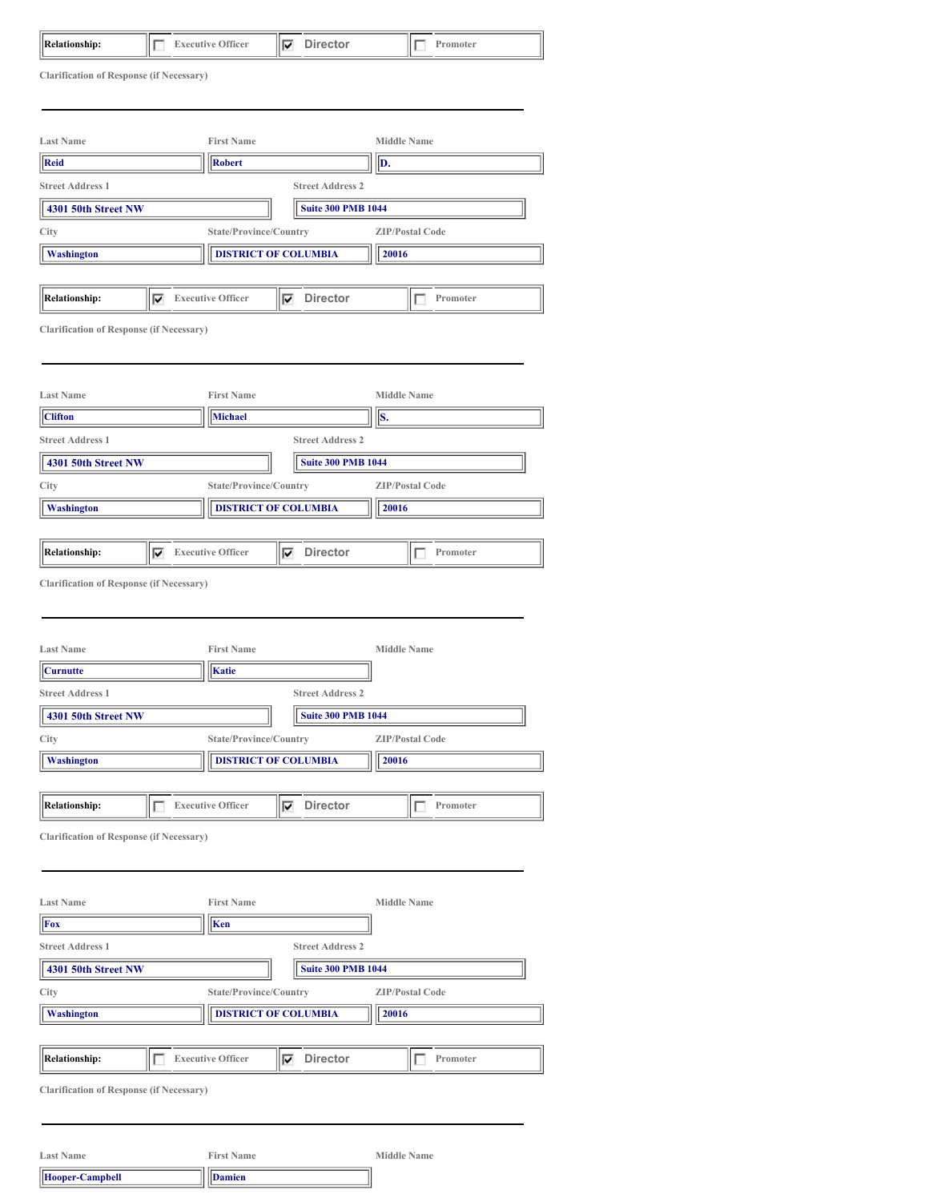**Clarification of Response (if Necessary)**

| <b>Last Name</b>        | <b>First Name</b>                                | <b>Middle Name</b>     |
|-------------------------|--------------------------------------------------|------------------------|
| Reid                    | <b>Robert</b>                                    | D.                     |
| <b>Street Address 1</b> | <b>Street Address 2</b>                          |                        |
| 4301 50th Street NW     | <b>Suite 300 PMB 1044</b>                        |                        |
| City                    | State/Province/Country                           | <b>ZIP/Postal Code</b> |
| Washington              | <b>DISTRICT OF COLUMBIA</b>                      | 20016                  |
|                         |                                                  |                        |
| Relationship:           | <b>Director</b><br><b>Executive Officer</b><br>⊽ | Promoter               |

**Clarification of Response (if Necessary)**

| <b>Last Name</b>          | <b>First Name</b>              |                           | Middle Name            |
|---------------------------|--------------------------------|---------------------------|------------------------|
| <b>Clifton</b>            | <b>Michael</b>                 |                           | Is.                    |
| <b>Street Address 1</b>   |                                | <b>Street Address 2</b>   |                        |
| 4301 50th Street NW       |                                | <b>Suite 300 PMB 1044</b> |                        |
| City                      | State/Province/Country         |                           | <b>ZIP/Postal Code</b> |
| <b>Washington</b>         | <b>DISTRICT OF COLUMBIA</b>    |                           | 20016                  |
|                           |                                |                           |                        |
| <b>Relationship:</b><br>M | <b>Executive Officer</b><br>1Й | <b>Director</b>           | Promoter               |

**Clarification of Response (if Necessary)**

| <b>Last Name</b>                                 |  | <b>First Name</b>        |   |                           |  | <b>Middle Name</b>     |  |
|--------------------------------------------------|--|--------------------------|---|---------------------------|--|------------------------|--|
| <b>Curnutte</b>                                  |  | Katie                    |   |                           |  |                        |  |
| <b>Street Address 1</b>                          |  |                          |   | <b>Street Address 2</b>   |  |                        |  |
| 4301 50th Street NW                              |  |                          |   | <b>Suite 300 PMB 1044</b> |  |                        |  |
| City                                             |  | State/Province/Country   |   |                           |  | <b>ZIP/Postal Code</b> |  |
| <b>DISTRICT OF COLUMBIA</b><br><b>Washington</b> |  |                          |   | 20016                     |  |                        |  |
|                                                  |  |                          |   |                           |  |                        |  |
| <b>Relationship:</b>                             |  | <b>Executive Officer</b> | ⊽ | <b>Director</b>           |  | Promoter               |  |
| <b>Clarification of Response (if Necessary)</b>  |  |                          |   |                           |  |                        |  |
|                                                  |  |                          |   |                           |  |                        |  |
|                                                  |  |                          |   |                           |  |                        |  |
| <b>Last Name</b>                                 |  | <b>First Name</b>        |   |                           |  | <b>Middle Name</b>     |  |
| l⊑.                                              |  | lles i                   |   |                           |  |                        |  |

| <b>Fox</b>                                      | $\ $ Ken                    |                           |                        |  |
|-------------------------------------------------|-----------------------------|---------------------------|------------------------|--|
| <b>Street Address 1</b>                         |                             | <b>Street Address 2</b>   |                        |  |
| 4301 50th Street NW                             |                             | <b>Suite 300 PMB 1044</b> |                        |  |
| City                                            | State/Province/Country      |                           | <b>ZIP/Postal Code</b> |  |
| <b>Washington</b>                               | <b>DISTRICT OF COLUMBIA</b> |                           | 20016                  |  |
|                                                 |                             |                           |                        |  |
| <b>Relationship:</b>                            | <b>Executive Officer</b>    | <b>Director</b><br>⊽      | Promoter               |  |
| <b>Clarification of Response (if Necessary)</b> |                             |                           |                        |  |

| <b>Last Name</b>        | <b>First Name</b> | Middle Name |
|-------------------------|-------------------|-------------|
| $\vert$ Hooper-Campbell | <b>Damien</b>     |             |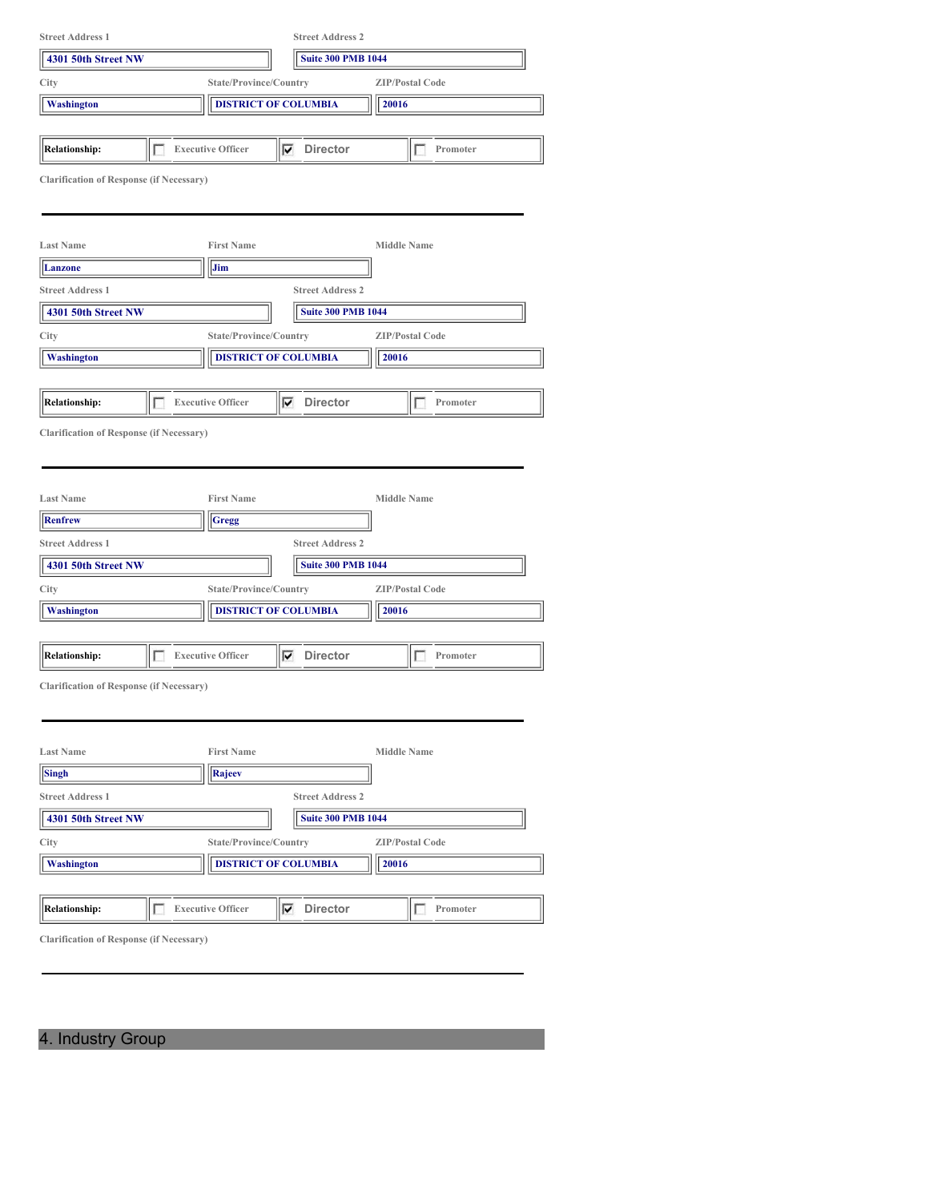| <b>Street Address 1</b>                         |                               | <b>Street Address 2</b>     |                        |  |  |
|-------------------------------------------------|-------------------------------|-----------------------------|------------------------|--|--|
| 4301 50th Street NW                             |                               | <b>Suite 300 PMB 1044</b>   |                        |  |  |
| City                                            | State/Province/Country        |                             | <b>ZIP/Postal Code</b> |  |  |
| <b>Washington</b>                               |                               | <b>DISTRICT OF COLUMBIA</b> | 20016                  |  |  |
|                                                 |                               |                             |                        |  |  |
| <b>Relationship:</b>                            | <b>Executive Officer</b><br>г | ⊽<br><b>Director</b>        | Promoter<br>L          |  |  |
| <b>Clarification of Response (if Necessary)</b> |                               |                             |                        |  |  |
|                                                 |                               |                             |                        |  |  |
|                                                 |                               |                             |                        |  |  |
| <b>Last Name</b>                                | <b>First Name</b>             |                             | <b>Middle Name</b>     |  |  |
| Lanzone                                         | Jim                           |                             |                        |  |  |
| <b>Street Address 1</b>                         |                               | <b>Street Address 2</b>     |                        |  |  |
| 4301 50th Street NW                             |                               | <b>Suite 300 PMB 1044</b>   |                        |  |  |
| City                                            | State/Province/Country        |                             | <b>ZIP/Postal Code</b> |  |  |
| Washington                                      |                               | <b>DISTRICT OF COLUMBIA</b> | 20016                  |  |  |
|                                                 |                               |                             |                        |  |  |
| <b>Relationship:</b>                            | г<br><b>Executive Officer</b> | <b>Director</b><br>⊽        | Promoter<br>L          |  |  |
| <b>Clarification of Response (if Necessary)</b> |                               |                             |                        |  |  |
|                                                 |                               |                             |                        |  |  |
|                                                 |                               |                             |                        |  |  |
| <b>Last Name</b>                                | <b>First Name</b>             |                             | <b>Middle Name</b>     |  |  |
| <b>Renfrew</b>                                  | Gregg                         |                             |                        |  |  |
| <b>Street Address 1</b>                         |                               | <b>Street Address 2</b>     |                        |  |  |
| 4301 50th Street NW                             |                               | <b>Suite 300 PMB 1044</b>   |                        |  |  |
| City                                            | State/Province/Country        |                             | <b>ZIP/Postal Code</b> |  |  |
| <b>Washington</b>                               |                               | <b>DISTRICT OF COLUMBIA</b> | 20016                  |  |  |
|                                                 |                               |                             |                        |  |  |
| <b>Relationship:</b>                            | <b>Executive Officer</b>      | <b>Director</b><br>▽        | Promoter               |  |  |
| <b>Clarification of Response (if Necessary)</b> |                               |                             |                        |  |  |
|                                                 |                               |                             |                        |  |  |
|                                                 |                               |                             |                        |  |  |
| <b>Last Name</b>                                | <b>First Name</b>             |                             | <b>Middle Name</b>     |  |  |
| <b>Singh</b>                                    | Rajeev                        |                             |                        |  |  |
| <b>Street Address 1</b>                         |                               | <b>Street Address 2</b>     |                        |  |  |
| 4301 50th Street NW                             |                               | <b>Suite 300 PMB 1044</b>   |                        |  |  |
| City                                            | State/Province/Country        |                             | <b>ZIP/Postal Code</b> |  |  |
| <b>Washington</b>                               |                               | <b>DISTRICT OF COLUMBIA</b> | 20016                  |  |  |
|                                                 |                               |                             |                        |  |  |
| <b>Relationship:</b>                            | <b>Executive Officer</b><br>П | <b>Director</b><br>⊽        | Promoter<br>Đ          |  |  |
|                                                 |                               |                             |                        |  |  |
| <b>Clarification of Response (if Necessary)</b> |                               |                             |                        |  |  |
|                                                 |                               |                             |                        |  |  |

4. Industry Group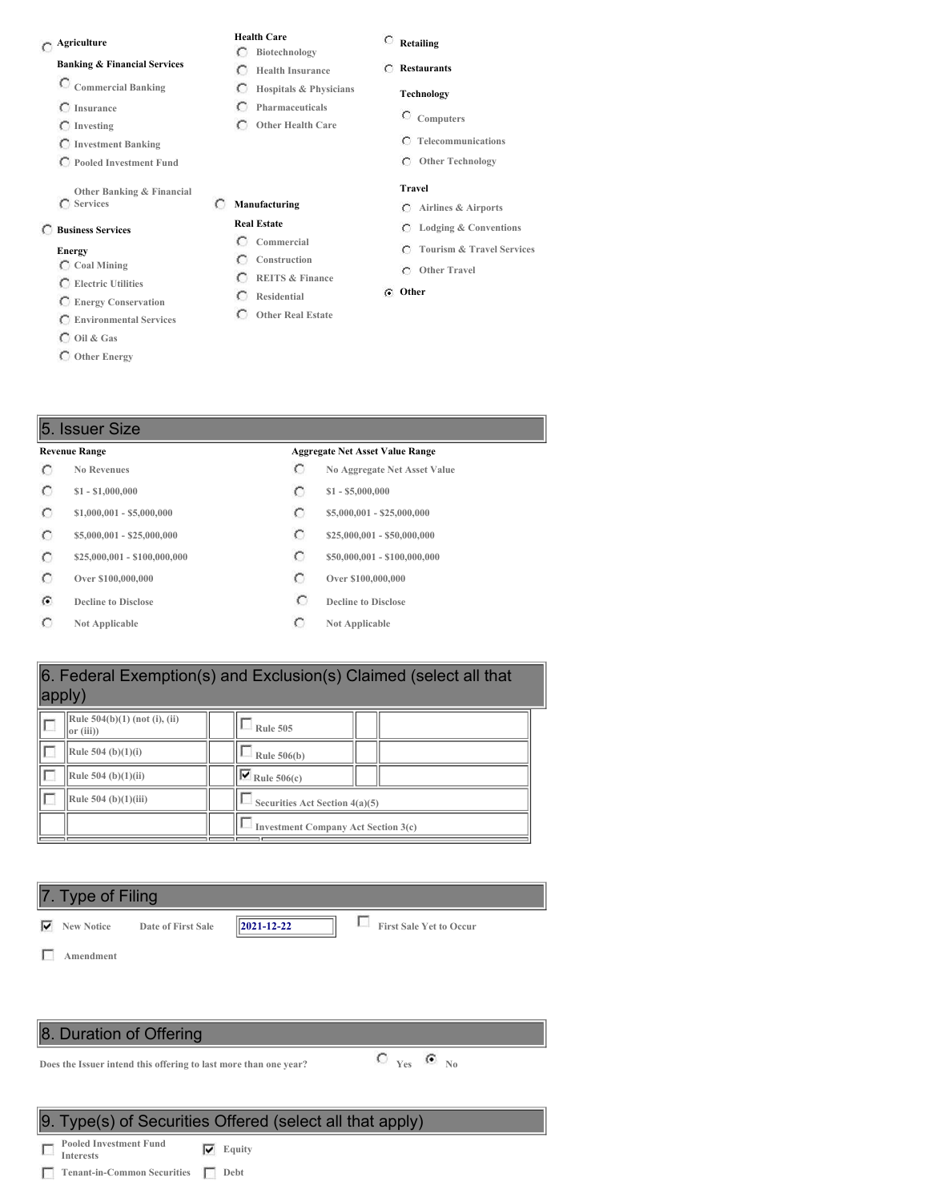# **Agriculture**

#### **Banking & Financial Services**

- **Commercial Banking**
- **Insurance**
- **Investing**
- **Investment Banking**
- **Pooled Investment Fund**
- 
- **Other Banking & Financial Services**

#### **Business Services**

#### **Energy**

- **Coal Mining**
- **Electric Utilities**
- **Energy Conservation Environmental Services**
- **Oil & Gas**
- **Other Energy**
- 

### **Retailing**

**Restaurants**

**Health Care Biotechnology Health Insurance Hospitals & Physicians Pharmaceuticals Other Health Care**

 $\subset$  $\circ$ 

**Manufacturing Real Estate Commercial Construction REITS & Finance Residential Other Real Estate**

 $\circ$ 

- **Technology**
- 
- **Computers**
	- **Telecommunications**
	- **Other Technology**

#### **Travel**

- **Airlines & Airports**
- **Lodging & Conventions**
- **Tourism & Travel Services**
- **Other Travel**

#### **Other**

#### 5. Issuer Size

 $\circ$  $\circ$  $\circ$  $\circ$  $\circ$  $\circ$  $\mathcal G$  $\circ$ 

## **Revenue Range Aggregate Net Asset Value Range**

- **No Revenues No Aggregate Net Asset Value**
- **\$1 - \$1,000,000 \$1 - \$5,000,000**
- **\$1,000,001 - \$5,000,000 \$5,000,000 \$5,000,001 \$25,000,000**
- **\$5,000,001 - \$25,000,000 \$25,000,001 \$25,000,000 \$25,000,000**
- **\$25,000,001 - \$100,000,000 \$50,000,001 - \$100,000,000**
- **Over \$100,000,000 Over \$100,000,000**
- **Decline to Disclose Decline to Disclose**
- **Not Applicable C Not Applicable**

# 6. Federal Exemption(s) and Exclusion(s) Claimed (select all that apply)

| Rule $504(b)(1)$ (not (i), (ii)<br>$ or (iii)\rangle$ | <b>Rule 505</b>                            |  |
|-------------------------------------------------------|--------------------------------------------|--|
| Rule $504$ (b)(1)(i)                                  | Rule $506(b)$                              |  |
| Rule $504$ (b)(1)(ii)                                 | ⊽<br>Rule $506(c)$                         |  |
| Rule 504 (b) $(1)(iii)$                               | Securities Act Section 4(a)(5)             |  |
|                                                       | <b>Investment Company Act Section 3(c)</b> |  |

# 7. Type of Filing **New Notice Date of First Sale 2021-12-22 First Sale Yet to Occur**

**Amendment**

П

# 8. Duration of Offering

**Does the Issuer intend this offering to last more than one year? Yes No**

## 9. Type(s) of Securities Offered (select all that apply)

**Pooled Investment Fund Interests Equity**

**Tenant-in-Common Securities Debt**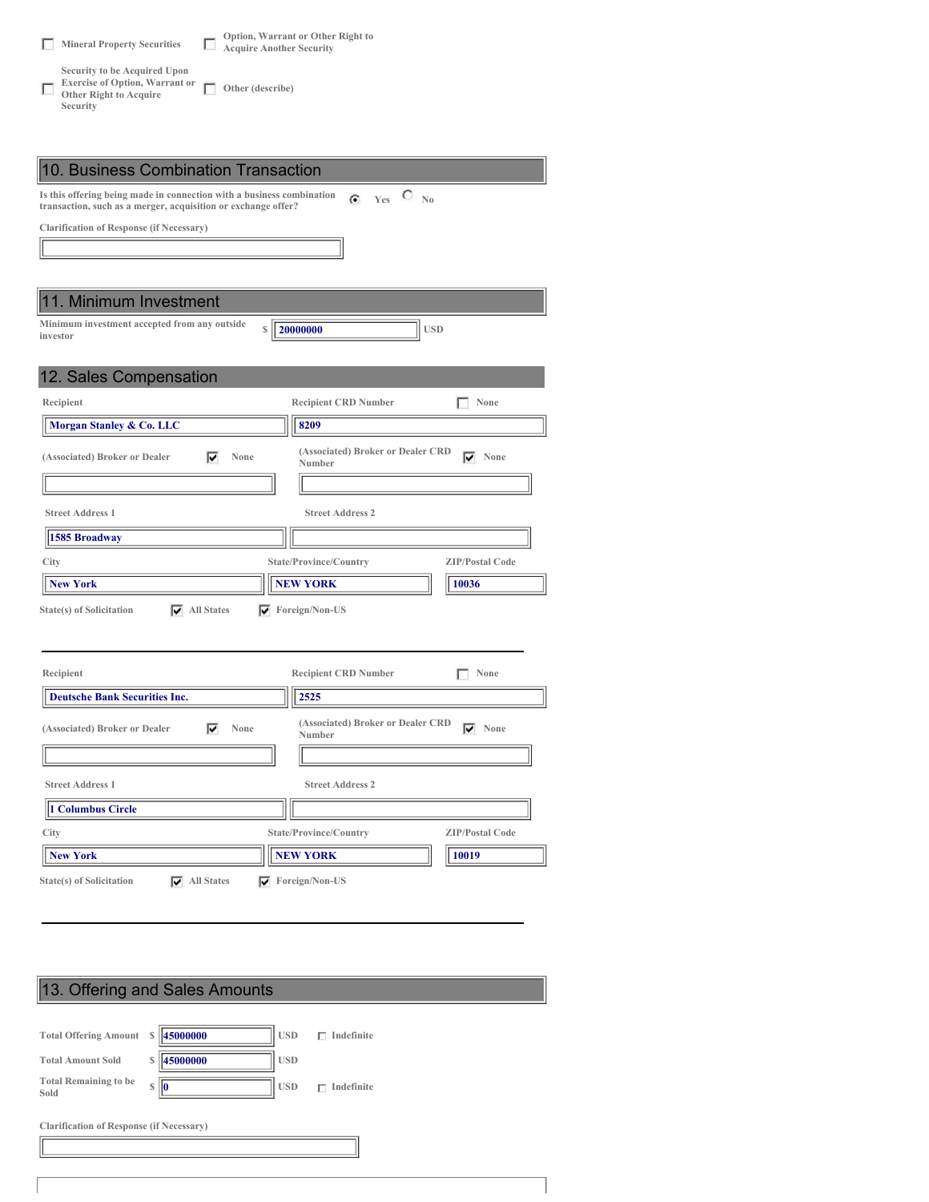| т. | <b>Mineral Property Securities</b>                                                                          | Option, Warrant or Other Right to<br><b>Acquire Another Security</b> |
|----|-------------------------------------------------------------------------------------------------------------|----------------------------------------------------------------------|
|    | Security to be Acquired Upon<br><b>Exercise of Option, Warrant or</b><br>Other Right to Acquire<br>Security | Other (describe)                                                     |

| 10. Business Combination Transaction                                                                                                                                                   |                                                              |  |  |  |
|----------------------------------------------------------------------------------------------------------------------------------------------------------------------------------------|--------------------------------------------------------------|--|--|--|
| Is this offering being made in connection with a business combination<br>$\bigcirc$ <sub>No</sub><br>$\mathbb{G}$ Yes<br>transaction, such as a merger, acquisition or exchange offer? |                                                              |  |  |  |
| <b>Clarification of Response (if Necessary)</b>                                                                                                                                        |                                                              |  |  |  |
|                                                                                                                                                                                        |                                                              |  |  |  |
|                                                                                                                                                                                        |                                                              |  |  |  |
| 1. Minimum Investment                                                                                                                                                                  |                                                              |  |  |  |
| Minimum investment accepted from any outside<br>S<br>investor                                                                                                                          | <b>USD</b><br>20000000                                       |  |  |  |
|                                                                                                                                                                                        |                                                              |  |  |  |
| 12. Sales Compensation                                                                                                                                                                 |                                                              |  |  |  |
| Recipient                                                                                                                                                                              | None<br><b>Recipient CRD Number</b>                          |  |  |  |
| Morgan Stanley & Co. LLC                                                                                                                                                               | 8209                                                         |  |  |  |
| ⊽<br>None<br>(Associated) Broker or Dealer                                                                                                                                             | (Associated) Broker or Dealer CRD<br>None<br>⊽<br>Number     |  |  |  |
|                                                                                                                                                                                        |                                                              |  |  |  |
| <b>Street Address 1</b>                                                                                                                                                                | <b>Street Address 2</b>                                      |  |  |  |
| 1585 Broadway                                                                                                                                                                          |                                                              |  |  |  |
| City                                                                                                                                                                                   | State/Province/Country<br><b>ZIP/Postal Code</b>             |  |  |  |
| <b>New York</b>                                                                                                                                                                        | <b>NEW YORK</b><br>10036                                     |  |  |  |
| <b>State(s)</b> of Solicitation<br>$\overline{\blacktriangledown}$ All States<br>$\nabla$ Foreign/Non-US                                                                               |                                                              |  |  |  |
|                                                                                                                                                                                        |                                                              |  |  |  |
|                                                                                                                                                                                        |                                                              |  |  |  |
| Recipient                                                                                                                                                                              | <b>Recipient CRD Number</b><br>None                          |  |  |  |
| <b>Deutsche Bank Securities Inc.</b>                                                                                                                                                   | 2525                                                         |  |  |  |
| (Associated) Broker or Dealer<br>⊽<br>None                                                                                                                                             | (Associated) Broker or Dealer CRD<br>$\nabla$ None<br>Number |  |  |  |
|                                                                                                                                                                                        |                                                              |  |  |  |
| <b>Street Address 1</b>                                                                                                                                                                | <b>Street Address 2</b>                                      |  |  |  |
| 1 Columbus Circle                                                                                                                                                                      |                                                              |  |  |  |
| City                                                                                                                                                                                   | State/Province/Country<br><b>ZIP/Postal Code</b>             |  |  |  |
| <b>New York</b>                                                                                                                                                                        | <b>NEW YORK</b><br>10019                                     |  |  |  |
| $\overline{\blacktriangledown}$ All States<br>State(s) of Solicitation                                                                                                                 | $\blacktriangledown$ Foreign/Non-US                          |  |  |  |

# 13. Offering and Sales Amounts **Total Offering Amount \$ 45000000 USD Indefinite Total Amount Sold \$ 45000000 USD Total Remaining to be Sold \$ 0 USD Indefinite Clarification of Response (if Necessary)**